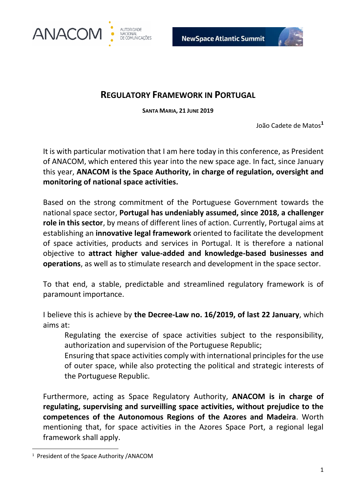



## **REGULATORY FRAMEWORK IN PORTUGAL**

**SANTA MARIA, 21 JUNE 2019**

João Cadete de Matos**<sup>1</sup>**

It is with particular motivation that I am here today in this conference, as President of ANACOM, which entered this year into the new space age. In fact, since January this year, **ANACOM is the Space Authority, in charge of regulation, oversight and monitoring of national space activities.** 

Based on the strong commitment of the Portuguese Government towards the national space sector, **Portugal has undeniably assumed, since 2018, a challenger role in this sector**, by means of different lines of action. Currently, Portugal aims at establishing an **innovative legal framework** oriented to facilitate the development of space activities, products and services in Portugal. It is therefore a national objective to **attract higher value-added and knowledge-based businesses and operations**, as well as to stimulate research and development in the space sector.

To that end, a stable, predictable and streamlined regulatory framework is of paramount importance.

I believe this is achieve by **the Decree-Law no. 16/2019, of last 22 January**, which aims at:

Regulating the exercise of space activities subject to the responsibility, authorization and supervision of the Portuguese Republic;

Ensuring that space activities comply with international principles for the use of outer space, while also protecting the political and strategic interests of the Portuguese Republic.

Furthermore, acting as Space Regulatory Authority, **ANACOM is in charge of regulating, supervising and surveilling space activities, without prejudice to the competences of the Autonomous Regions of the Azores and Madeira**. Worth mentioning that, for space activities in the Azores Space Port, a regional legal framework shall apply.

**.** 

<sup>&</sup>lt;sup>1</sup> President of the Space Authority /ANACOM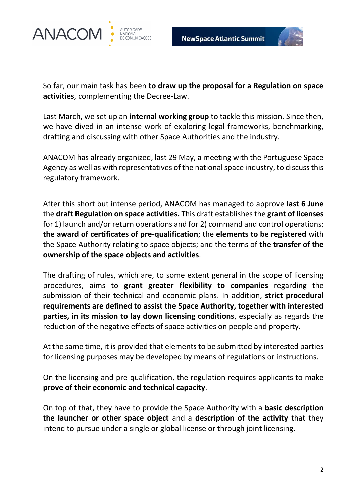



So far, our main task has been **to draw up the proposal for a Regulation on space activities**, complementing the Decree-Law.

Last March, we set up an **internal working group** to tackle this mission. Since then, we have dived in an intense work of exploring legal frameworks, benchmarking, drafting and discussing with other Space Authorities and the industry.

ANACOM has already organized, last 29 May, a meeting with the Portuguese Space Agency as well as with representatives of the national space industry, to discuss this regulatory framework.

After this short but intense period, ANACOM has managed to approve **last 6 June**  the **draft Regulation on space activities.** This draft establishes the **grant of licenses** for 1) launch and/or return operations and for 2) command and control operations; **the award of certificates of pre-qualification**; the **elements to be registered** with the Space Authority relating to space objects; and the terms of **the transfer of the ownership of the space objects and activities**.

The drafting of rules, which are, to some extent general in the scope of licensing procedures, aims to **grant greater flexibility to companies** regarding the submission of their technical and economic plans. In addition, **strict procedural requirements are defined to assist the Space Authority, together with interested parties, in its mission to lay down licensing conditions**, especially as regards the reduction of the negative effects of space activities on people and property.

At the same time, it is provided that elements to be submitted by interested parties for licensing purposes may be developed by means of regulations or instructions.

On the licensing and pre-qualification, the regulation requires applicants to make **prove of their economic and technical capacity**.

On top of that, they have to provide the Space Authority with a **basic description the launcher or other space object** and a **description of the activity** that they intend to pursue under a single or global license or through joint licensing.